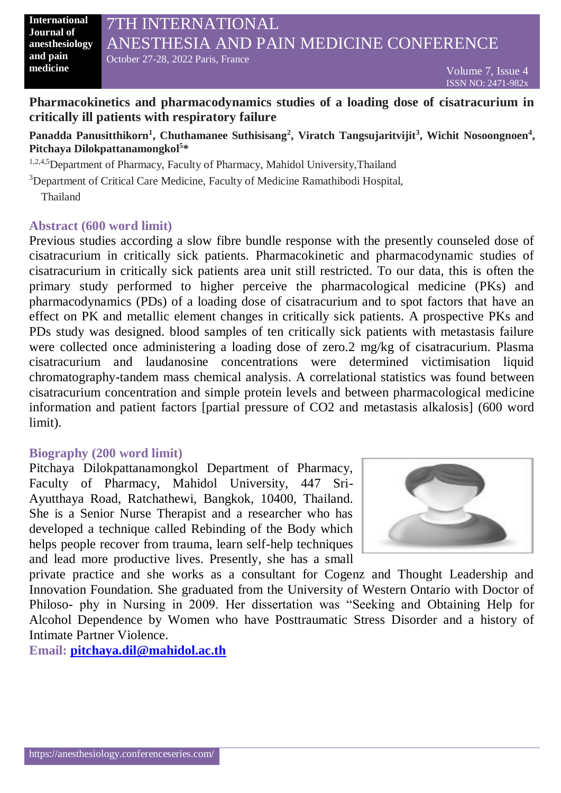**International Journal of anesthesiology and pain medicine**

## **Pharmacokinetics and pharmacodynamics studies of a loading dose of cisatracurium in critically ill patients with respiratory failure**

## **Panadda Panusitthikorn<sup>1</sup> , Chuthamanee Suthisisang<sup>2</sup> , Viratch Tangsujaritvijit<sup>3</sup> , Wichit Nosoongnoen<sup>4</sup> , Pitchaya Dilokpattanamongkol<sup>5</sup> \***

1,2,4,5 Department of Pharmacy, Faculty of Pharmacy, Mahidol University, Thailand

<sup>3</sup>Department of Critical Care Medicine, Faculty of Medicine Ramathibodi Hospital,

Thailand

## **Abstract (600 word limit)**

Previous studies according a slow fibre bundle response with the presently counseled dose of cisatracurium in critically sick patients. Pharmacokinetic and pharmacodynamic studies of cisatracurium in critically sick patients area unit still restricted. To our data, this is often the primary study performed to higher perceive the pharmacological medicine (PKs) and pharmacodynamics (PDs) of a loading dose of cisatracurium and to spot factors that have an effect on PK and metallic element changes in critically sick patients. A prospective PKs and PDs study was designed. blood samples of ten critically sick patients with metastasis failure were collected once administering a loading dose of zero.2 mg/kg of cisatracurium. Plasma cisatracurium and laudanosine concentrations were determined victimisation liquid chromatography-tandem mass chemical analysis. A correlational statistics was found between cisatracurium concentration and simple protein levels and between pharmacological medicine information and patient factors [partial pressure of CO2 and metastasis alkalosis] (600 word limit).

## **Biography (200 word limit)**

Pitchaya Dilokpattanamongkol Department of Pharmacy, Faculty of Pharmacy, Mahidol University, 447 Sri-Ayutthaya Road, Ratchathewi, Bangkok, 10400, Thailand. She is a Senior Nurse Therapist and a researcher who has developed a technique called Rebinding of the Body which helps people recover from trauma, learn self-help techniques and lead more productive lives. Presently, she has a small



private practice and she works as a consultant for Cogenz and Thought Leadership and Innovation Foundation. She graduated from the University of Western Ontario with Doctor of Philoso- phy in Nursing in 2009. Her dissertation was "Seeking and Obtaining Help for Alcohol Dependence by Women who have Posttraumatic Stress Disorder and a history of Intimate Partner Violence.

**Email: [pitchaya.dil@mahidol.ac.th](mailto:pitchaya.dil@mahidol.ac.th)**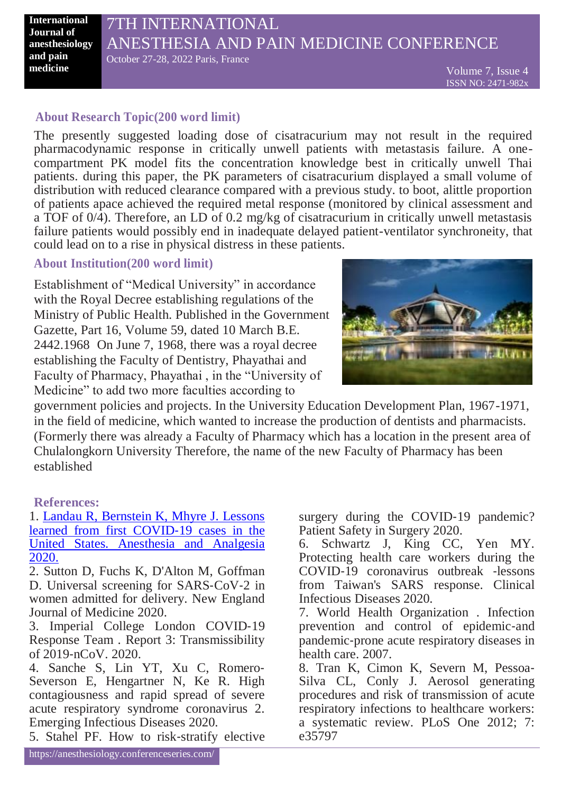**International Journal of anesthesiology and pain medicine**

# 7TH INTERNATIONAL ANESTHESIA AND PAIN MEDICINE CONFERENCE October 27-28, 2022 Paris, France

## **About Research Topic(200 word limit)**

The presently suggested loading dose of cisatracurium may not result in the required pharmacodynamic response in critically unwell patients with metastasis failure. A onecompartment PK model fits the concentration knowledge best in critically unwell Thai patients. during this paper, the PK parameters of cisatracurium displayed a small volume of distribution with reduced clearance compared with a previous study. to boot, alittle proportion of patients apace achieved the required metal response (monitored by clinical assessment and a TOF of 0/4). Therefore, an LD of 0.2 mg/kg of cisatracurium in critically unwell metastasis failure patients would possibly end in inadequate delayed patient-ventilator synchroneity, that could lead on to a rise in physical distress in these patients.

## **About Institution(200 word limit)**

Establishment of "Medical University" in accordance with the Royal Decree establishing regulations of the Ministry of Public Health. Published in the Government Gazette, Part 16, Volume 59, dated 10 March B.E. 2442.1968 On June 7, 1968, there was a royal decree establishing the Faculty of Dentistry, Phayathai and Faculty of Pharmacy, Phayathai , in the "University of Medicine" to add two more faculties according to



government policies and projects. In the University Education Development Plan, 1967-1971, in the field of medicine, which wanted to increase the production of dentists and pharmacists. (Formerly there was already a Faculty of Pharmacy which has a location in the present area of Chulalongkorn University Therefore, the name of the new Faculty of Pharmacy has been established

**References:**

1. [Landau R, Bernstein K, Mhyre J. Lessons](https://anesthesiology.conferenceseries.com/)  [learned from first COVID](https://anesthesiology.conferenceseries.com/)‐19 cases in the [United States. Anesthesia and Analgesia](https://anesthesiology.conferenceseries.com/)  [2020.](https://anesthesiology.conferenceseries.com/)

2. Sutton D, Fuchs K, D'Alton M, Goffman D. Universal screening for SARS‐CoV‐2 in women admitted for delivery. New England Journal of Medicine 2020.

3. Imperial College London COVID‐19 Response Team . Report 3: Transmissibility of 2019‐nCoV. 2020.

4. Sanche S, Lin YT, Xu C, Romero‐ Severson E, Hengartner N, Ke R. High contagiousness and rapid spread of severe acute respiratory syndrome coronavirus 2. Emerging Infectious Diseases 2020.

5. Stahel PF. How to risk‐stratify elective

surgery during the COVID-19 pandemic? Patient Safety in Surgery 2020.

6. Schwartz J, King CC, Yen MY. Protecting health care workers during the COVID‐19 coronavirus outbreak ‐lessons from Taiwan's SARS response. Clinical Infectious Diseases 2020.

7. World Health Organization . Infection prevention and control of epidemic-and pandemic‐prone acute respiratory diseases in health care. 2007.

8. Tran K, Cimon K, Severn M, Pessoa‐ Silva CL, Conly J. Aerosol generating procedures and risk of transmission of acute respiratory infections to healthcare workers: a systematic review. PLoS One 2012; 7: e35797